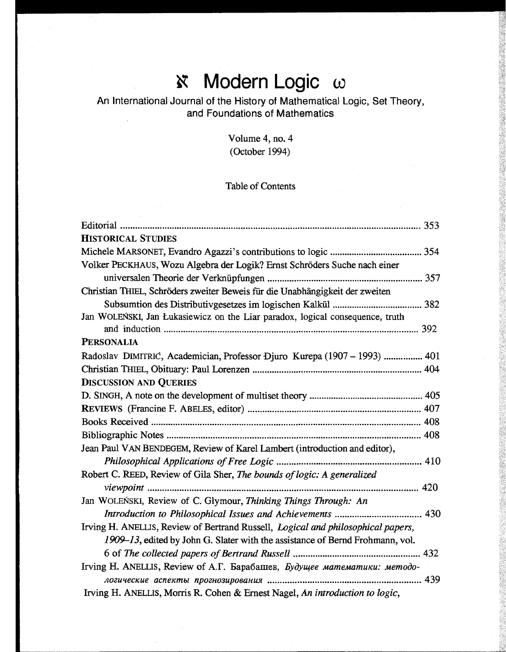## Modern Logic  $\omega$  $\aleph$

## An International Journal of the History of Mathematical Logic, Set Theory, and Foundations of Mathematics

Volume 4, no. 4 (October 1994)

## Table of Contents

| <b>HISTORICAL STUDIES</b>                                                        |
|----------------------------------------------------------------------------------|
|                                                                                  |
| Volker PECKHAUS, Wozu Algebra der Logik? Ernst Schröders Suche nach einer        |
|                                                                                  |
| Christian THIEL, Schröders zweiter Beweis für die Unabhängigkeit der zweiten     |
|                                                                                  |
| Jan WOLEŃSKI, Jan Łukasiewicz on the Liar paradox, logical consequence, truth    |
|                                                                                  |
| <b>PERSONALIA</b>                                                                |
| Radoslav DIMITRIC, Academician, Professor Djuro Kurepa (1907 – 1993)  401        |
|                                                                                  |
| <b>DISCUSSION AND QUERIES</b>                                                    |
|                                                                                  |
|                                                                                  |
|                                                                                  |
|                                                                                  |
| Jean Paul VAN BENDEGEM, Review of Karel Lambert (introduction and editor),       |
|                                                                                  |
| Robert C. REED, Review of Gila Sher, The bounds of logic: A generalized          |
|                                                                                  |
| Jan WOLEŃSKI, Review of C. Glymour, Thinking Things Through: An                  |
|                                                                                  |
| Irving H. ANELLIS, Review of Bertrand Russell, Logical and philosophical papers, |
| 1909–13, edited by John G. Slater with the assistance of Bernd Frohmann, vol.    |
|                                                                                  |
| Irving H. ANELLIS, Review of A.T. Барабашев, Будущее математики: методо-         |
|                                                                                  |
| Irving H. ANELLIS, Morris R. Cohen & Ernest Nagel, An introduction to logic,     |